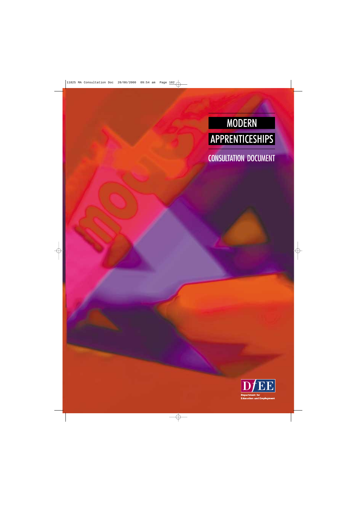# MODERN APPRENTICESHIPS

CONSULTATION DOCUMENT

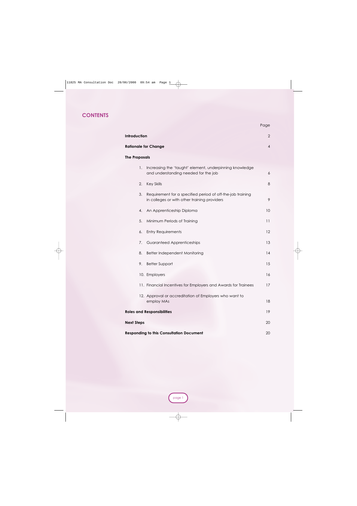#### **CONTENTS**

|                                                                                                                  | ı uyo          |  |  |
|------------------------------------------------------------------------------------------------------------------|----------------|--|--|
| Introduction                                                                                                     | $\overline{2}$ |  |  |
| <b>Rationale for Change</b>                                                                                      | $\overline{4}$ |  |  |
| <b>The Proposals</b>                                                                                             |                |  |  |
| 1.<br>Increasing the 'taught' element, underpinning knowledge<br>and understanding needed for the job            | 6              |  |  |
| 2.<br><b>Key Skills</b>                                                                                          | 8              |  |  |
| 3.<br>Requirement for a specified period of off-the-job training<br>in colleges or with other training providers | 9              |  |  |
| An Apprenticeship Diploma<br>4.                                                                                  | 10             |  |  |
| 5.<br>Minimum Periods of Training                                                                                | 11             |  |  |
| <b>Entry Requirements</b><br>6.                                                                                  | 12             |  |  |
| Guaranteed Apprenticeships<br>7.                                                                                 | 13             |  |  |
| 8.<br>Better Independent Monitoring                                                                              | 14             |  |  |
| <b>Better Support</b><br>9.                                                                                      | 15             |  |  |
| 10. Employers                                                                                                    | 16             |  |  |
| 11. Financial Incentives for Employers and Awards for Trainees                                                   | 17             |  |  |
| 12. Approval or accreditation of Employers who want to<br>employ MAs                                             | 18             |  |  |
| <b>Roles and Responsibilities</b>                                                                                | 19             |  |  |
| <b>Next Steps</b>                                                                                                | 20             |  |  |
| <b>Responding to this Consultation Document</b>                                                                  |                |  |  |

Page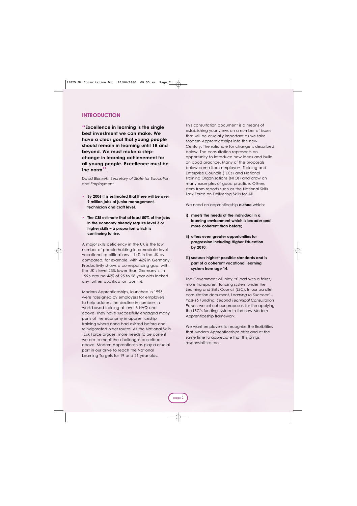#### **INTRODUCTION**

**"Excellence in learning is the single best investment we can make. We have a clear goal that young people should remain in learning until 18 and beyond. We must make a stepchange in learning achievement for all young people. Excellence must be the norm''.**

*David Blunkett, Secretary of State for Education and Employment.*

- **• By 2006 it is estimated that there will be over 9 million jobs at junior management, technician and craft level.**
- **• The CBI estimate that at least 50% of the jobs in the economy already require level 3 or higher skills – a proportion which is continuing to rise.**

A major skills deficiency in the UK is the low number of people holding intermediate level vocational qualifications – 14% in the UK as compared, for example, with 46% in Germany. Productivity shows a corresponding gap, with the UK's level 23% lower than Germany's. In 1996 around 46% of 25 to 28 year olds lacked any further qualification post 16.

Modern Apprenticeships, launched in 1993 were 'designed by employers for employers' to help address the decline in numbers in work-based training at level 3 NVQ and above. They have successfully engaged many parts of the economy in apprenticeship training where none had existed before and reinvigorated older routes. As the National Skills Task Force argues, more needs to be done if we are to meet the challenges described above. Modern Apprenticeships play a crucial part in our drive to reach the National Learning Targets for 19 and 21 year olds.

This consultation document is a means of establishing your views on a number of issues that will be crucially important as we take Modern Apprenticeships into the new Century. The rationale for change is described below. The consultation represents an opportunity to introduce new ideas and build on good practice. Many of the proposals below come from employers, Training and Enterprise Councils (TECs) and National Training Organisations (NTOs) and draw on many examples of good practice. Others stem from reports such as the National Skills Task Force on Delivering Skills for All.

We need an apprenticeship **culture** which:

- **i) meets the needs of the individual in a learning environment which is broader and more coherent than before;**
- **ii) offers even greater opportunities for progression including Higher Education by 2010;**
- **iii) secures highest possible standards and is part of a coherent vocational learning system from age 14.**

The Government will play its' part with a fairer, more transparent funding system under the Learning and Skills Council (LSC). In our parallel consultation document, *Learning to Succeed – Post-16 Funding: Second Technical Consultation Paper*, we set out our proposals for the applying the LSC's funding system to the new Modern Apprenticeship framework.

We want employers to recognise the flexibilities that Modern Apprenticeships offer and at the same time to appreciate that this brings responsibilities too.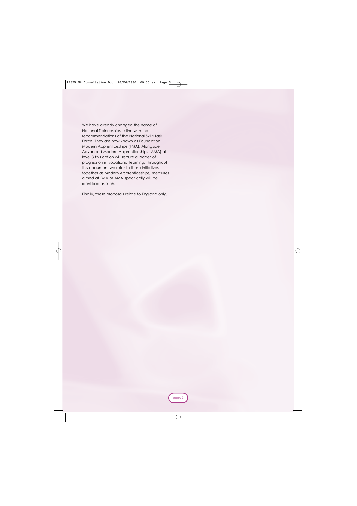We have already changed the name of National Traineeships in line with the recommendations of the National Skills Task Force. They are now known as Foundation Modern Apprenticeships (FMA). Alongside Advanced Modern Apprenticeships (AMA) at level 3 this option will secure a ladder of progression in vocational learning. Throughout this document we refer to these initiatives together as Modern Apprenticeships, measures aimed at FMA or AMA specifically will be identified as such.

Finally, these proposals relate to England only.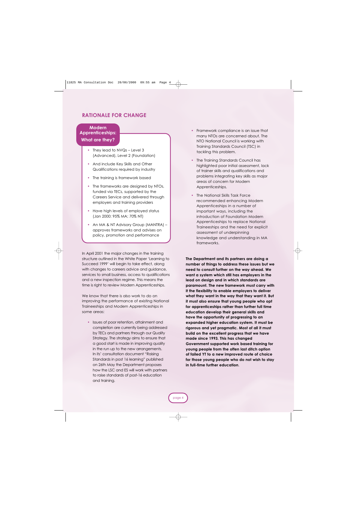#### **RATIONALE FOR CHANGE**

#### **Modern Apprenticeships: What are they?**

- They lead to NVQs Level 3 (Advanced), Level 2 (Foundation)
- And include Key Skills and Other Qualifications required by industry
- The training is framework based
- The frameworks are designed by NTOs, funded via TECs, supported by the Careers Service and delivered through employers and training providers
- Have high levels of employed status (Jan 2000: 95% MA; 70% NT)
- An MA & NT Advisory Group (MANTRA) approves frameworks and advises on policy, promotion and performance

In April 2001 the major changes in the training structure outlined in the White Paper 'Learning to Succeed 1999' will begin to take effect, along with changes to careers advice and quidance, services to small business, access to qualifications and a new inspection regime. This means the time is right to review Modern Apprenticeships.

We know that there is also work to do on improving the performance of existing National Traineeships and Modern Apprenticeships in some areas:

**•** Issues of poor retention, attainment and completion are currently being addressed by TECs and partners through our Quality Strategy. The strategy aims to ensure that a good start is made in improving quality in the run up to the new arrangements. In its' consultation document "Raising Standards in post 16 learning" published on 26th May the Department proposes how the LSC and ES will work with partners to raise standards of post-16 education and training.

- **•** Framework compliance is an issue that many NTOs are concerned about. The NTO National Council is working with Training Standards Council (TSC) in tackling this problem.
- **•** The Training Standards Council has highlighted poor initial assessment, lack of trainer skills and qualifications and problems integrating key skills as major areas of concern for Modern Apprenticeships.
- **•** The National Skills Task Force recommended enhancing Modern Apprenticeships in a number of important ways, including the introduction of Foundation Modern Apprenticeships to replace National Traineeships and the need for explicit assessment of underpinning knowledge and understanding in MA frameworks.

**The Department and its partners are doing a number of things to address these issues but we need to consult further on the way ahead. We want a system which still has employers in the lead on design and in which standards are paramount. The new framework must carry with it the flexibility to enable employers to deliver what they want in the way that they want it. But it must also ensure that young people who opt for apprenticeships rather than further full time education develop their general skills and have the opportunity of progressing to an expanded higher education system. It must be rigorous and yet pragmatic. Most of all it must build on the excellent progress that we have made since 1993. This has changed Government supported work based training for young people from the often last ditch option of failed YT to a new improved route of choice for those young people who do not wish to stay in full-time further education**.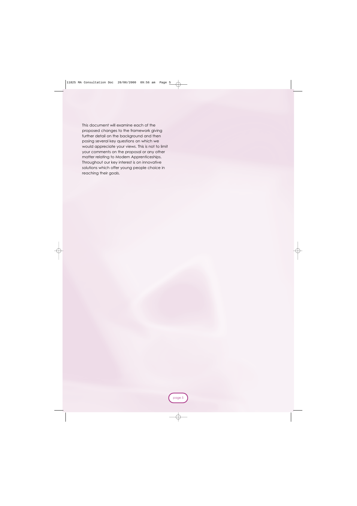This document will examine each of the proposed changes to the framework giving further detail on the background and then posing several key questions on which we would appreciate your views. This is not to limit your comments on the proposal or any other matter relating to Modern Apprenticeships. Throughout our key interest is on innovative solutions which offer young people choice in reaching their goals.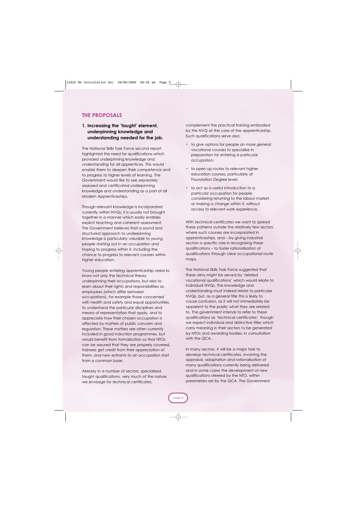#### **THE PROPOSALS**

#### **1. Increasing the 'taught' element, underpinning knowledge and understanding needed for the job.**

The National Skills Task Force second report highlighted the need for qualifications which provided underpinning knowledge and understanding for all apprentices. This would enable them to deepen their competence and to progress to higher levels of learning. The Government would like to see separately assessed and certificated underpinning knowledge and understanding as a part of all Modern Apprenticeships.

Though relevant knowledge is incorporated currently within NVQs, it is usually not brought together in a manner which easily enables explicit teaching and coherent assessment. The Government believes that a sound and structured approach to underpinning knowledge is particularly valuable to young people starting out in an occupation and hoping to progress within it, including the chance to progress to relevant courses within higher education.

Young people entering apprenticeship need to know not only the technical theory underpinning their occupations, but also to learn about their rights and responsibilities as employees (which differ between occupations), for example those concerned with health and safety and equal opportunities, to understand the particular disciplines and means of representation that apply, and to appreciate how their chosen occupation is affected by matters of public concern and regulation. These matters are often currently included in good induction programmes, but would benefit from formalisation so that NTOs can be assured that they are properly covered, trainees get credit from their appreciation of them, and new entrants to an occupation start from a common base.

Already in a number of sectors, specialised taught qualifications, very much of the nature we envisage for technical certificates,

complement the practical training embodied by the NVQ at the core of the apprenticeship. Such qualifications serve also:

- **•** to give options for people on more general vocational courses to specialise in preparation for entering a particular occupation;
- **•** to open up routes to relevant higher education courses, particularly at Foundation Degree level;
- **•** to act as a useful introduction to a particular occupation for people considering returning to the labour market, or making a change within it, without access to relevant work experience.

With technical certificates we want to spread these patterns outside the relatively few sectors where such courses are incorporated in apprenticeships, and – by giving industrial sectors a specific role in recognising these qualifications – to foster rationalisation of qualifications through clear occupational route maps.

The National Skills Task Force suggested that these aims might be served by 'related vocational qualifications' which would relate to individual NVQs. The knowledge and understanding must indeed relate to particular NVQs, but, as a general title this is likely to cause confusion, as it will not immediately be apparent to the public what they are related to. The government intends to refer to these qualifications as 'technical certificates', though we expect individual and distinctive titles which carry meaning in their sectors to be generated by NTOs and awarding bodies, in consultation with the QCA.

In many sectors, it will be a major task to develop technical certificates, involving the appraisal, adaptation and rationalisation of many qualifications currently being delivered and in some cases the development of new qualifications steered by the NTO, within parameters set by the QCA. The Government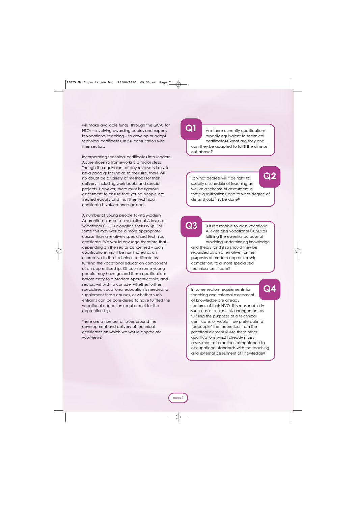will make available funds, through the QCA, for NTOs – involving awarding bodies and experts in vocational teaching – to develop or adapt technical certificates, in full consultation with their sectors.

Incorporating technical certificates into Modern Apprenticeship frameworks is a major step. Though the equivalent of day release is likely to be a good guideline as to their size, there will no doubt be a variety of methods for their delivery, including work books and special projects. However, there must be rigorous assessment to ensure that young people are treated equally and that their technical certificate is valued once gained.

A number of young people taking Modern Apprenticeships pursue vocational A levels or vocational GCSEs alongside their NVQs. For some this may well be a more appropriate course than a relatively specialised technical certificate. We would envisage therefore that – depending on the sector concerned – such qualifications might be nominated as an alternative to the technical certificate as fulfilling the vocational education component of an apprenticeship. Of course some young people may have gained these qualifications before entry to a Modern Apprenticeship, and sectors will wish to consider whether further, specialised vocational education is needed to supplement these courses, or whether such entrants can be considered to have fulfilled the vocational education requirement for the apprenticeship.

There are a number of issues around the development and delivery of technical certificates on which we would appreciate your views.

### **Q1**

Are there currently qualifications broadly equivalent to technical certificates? What are they and can they be adapted to fulfill the aims set out above?

**Q2**

To what degree will it be right to specify a schedule of teaching as well as a scheme of assessment in these qualifications, and to what degree of detail should this be done?

# **Q3**

Is it reasonable to class vocational A levels and vocational GCSEs as fulfilling the essential purpose of providing underpinning knowledge and theory, and if so should they be regarded as an alternative, for the purposes of modern apprenticeship completion, to a more specialised technical certificate?

In some sectors requirements for teaching and external assessment of knowledge are already features of their NVQ. It is reasonable in such cases to class this arrangement as fulfilling the purposes of a technical certificate, or would it be preferable to 'decouple' the theoretical from the practical elements? Are there other qualifications which already marry assessment of practical competence to occupational standards with the teaching and external assessment of knowledge? **Q4**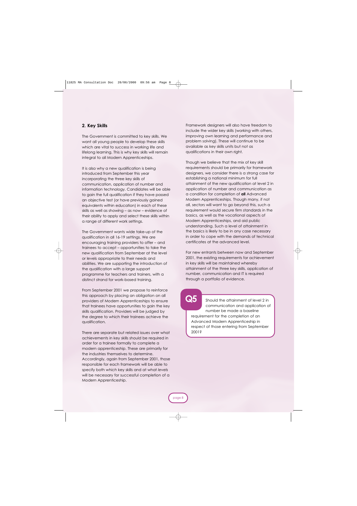#### **2. Key Skills**

The Government is committed to key skills. We want all young people to develop these skills which are vital to success in working life and lifelong learning. This is why key skills will remain integral to all Modern Apprenticeships.

It is also why a new qualification is being introduced from September this year incorporating the three key skills of communication, application of number and information technology. Candidates will be able to gain the full qualification if they have passed an objective test (or have previously gained equivalents within education) in each of these skills as well as showing – as now – evidence of their ability to apply and select these skills within a range of different work settings.

The Government wants wide take-up of the qualification in all 16-19 settings. We are encouraging training providers to offer – and trainees to accept – opportunities to take the new qualification from September at the level or levels appropriate to their needs and abilities. We are supporting the introduction of the qualification with a large support programme for teachers and trainers, with a distinct strand for work-based training.

From September 2001 we propose to reinforce this approach by placing an obligation on all providers of Modern Apprenticeships to ensure that trainees have opportunities to gain the key skills qualification. Providers will be judged by the degree to which their trainees achieve the qualification.

There are separate but related issues over what achievements in key skills should be required in order for a trainee formally to complete a modern apprenticeship. These are primarily for the industries themselves to determine. Accordingly, again from September 2001, those responsible for each framework will be able to specify both *which* key skills and at what *levels* will be necessary for successful completion of a Modern Apprenticeship.

Framework designers will also have freedom to include the wider key skills (working with others, improving own learning and performance and problem solving). These will continue to be available as key skills units but not as qualifications in their own right.

Though we believe that the mix of key skill requirements should be primarily for framework designers, we consider there is a strong case for establishing a national minimum for full attainment of the new qualification at level 2 in application of number and communication as a condition for completion of **all** Advanced Modern Apprenticeships. Though many, if not all, sectors will want to go beyond this, such a requirement would secure firm standards in the basics, as well as the vocational aspects of Modern Apprenticeships, and aid public understanding. Such a level of attainment in the basics is likely to be in any case necessary in order to cope with the demands of technical certificates at the advanced level.

For new entrants between now and September 2001, the existing requirements for achievement in key skills will be maintained whereby attainment of the three key skills, application of number, communication and IT is required through a portfolio of evidence.

Should the attainment of level 2 in communication and application of number be made a baseline requirement for the completion of an Advanced Modern Apprenticeship in respect of those entering from September 2001? **Q5**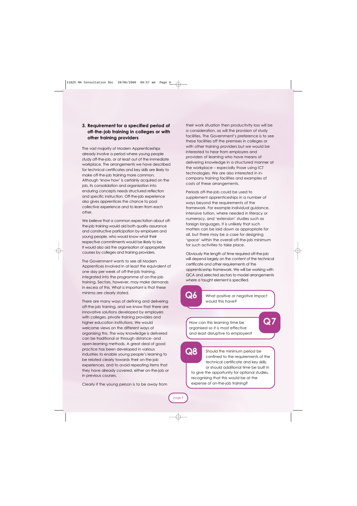#### **3. Requirement for a specified period of off-the-job training in colleges or with other training providers**

The vast majority of Modern Apprenticeships already involve a period where young people study off-the-job, or at least out of the immediate workplace. The arrangements we have described for technical certificates and key skills are likely to make off-the-job training more common. Although 'know how' is certainly acquired on the job, its consolidation and organisation into enduring concepts needs structured reflection and specific instruction. Off-the-job experience also gives apprentices the chance to pool collective experience and to learn from each other.

We believe that a common expectation about offthe-job training would aid both quality assurance and constructive participation by employers and young people, who would know what their respective commitments would be likely to be. It would also aid the organisation of appropriate courses by colleges and training providers.

The Government wants to see all Modern Apprentices involved in at least the equivalent of one day per week of off-the-job training, integrated into the programme of on-the-job training. Sectors, however, may make demands in excess of this. What is important is that these minima are clearly stated.

There are many ways of defining and delivering off-the-job training, and we know that there are innovative solutions developed by employers with colleges, private training providers and higher education institutions. We would welcome views on the different ways of organising this. The way knowledge is delivered can be traditional or through distance- and open-learning methods. A great deal of good practice has been developed in various industries to enable young people's learning to be related clearly towards their on-the-job experiences, and to avoid repeating items that they have already covered, either on-the-job or in previous courses.

Clearly if the young person is to be away from

their work situation then productivity loss will be a consideration, as will the provision of study facilities. The Government's preference is to see these facilities off the premises in colleges or with other training providers but we would be interested to hear from employers and providers of learning who have means of delivering knowledge in a structured manner at the workplace – especially those using ICT technologies. We are also interested in incompany training facilities and examples of costs of these arrangements.

Periods off-the-job could be used to supplement apprenticeships in a number of ways beyond the requirements of the framework. For example individual guidance, intensive tuition, where needed in literacy or numeracy, and 'extension' studies such as foreign languages. It is unlikely that such matters can be laid down as appropriate for all, but there may be a case for designing 'space' within the overall off-the-job minimum for such activities to take place.

Obviously the length of time required off-the-job will depend largely on the content of the technical certificate and other requirements of the apprenticeship framework. We will be working with QCA and selected sectors to model arrangements where a taught element is specified.

### **Q6**

What positive or negative impact would this have?

How can this learning time be organised so it is most effective and least disruptive to employers? **Q7**

## **Q8**

Should the minimum period be confined to the requirements of the technical certificate and key skills, or should additional time be built in

to give the opportunity for optional studies, recognising that this would be at the expense of on-the-job training?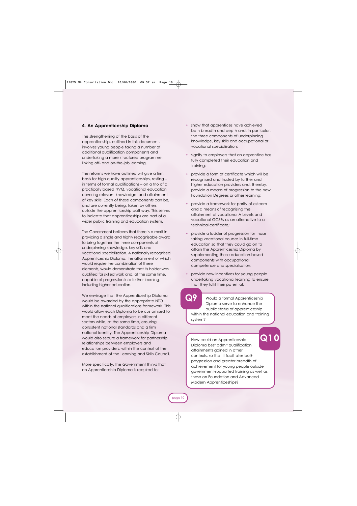#### **4. An Apprenticeship Diploma**

The strengthening of the basis of the apprenticeship, outlined in this document, involves young people taking a number of additional qualification components and undertaking a more structured programme, linking off- and on-the-job learning.

The reforms we have outlined will give a firm basis for high quality apprenticeships, resting – in terms of formal qualifications – on a trio of a practically based NVQ, vocational education covering relevant knowledge, and attainment of key skills. Each of these components can be, and are currently being, taken by others outside the apprenticeship pathway. This serves to indicate that apprenticeships are part of a wider public training and education system.

The Government believes that there is a merit in providing a single and highly recognisable award to bring together the three components of underpinning knowledge, key skills and vocational specialisation. A nationally recognised Apprenticeship Diploma, the attainment of which would require the combination of these elements, would demonstrate that its holder was qualified for skilled work and, at the same time, capable of progression into further learning, including higher education.

We envisage that the Apprenticeship Diploma would be awarded by the appropriate NTO within the national qualifications framework. This would allow each Diploma to be customised to meet the needs of employers in different sectors while, at the same time, ensuring consistent national standards and a firm national identity. The Apprenticeship Diploma would also secure a framework for partnership relationships between employers and education providers, within the context of the establishment of the Learning and Skills Council.

More specifically, the Government thinks that an Apprenticeship Diploma is required to:

- **•** show that apprentices have achieved both breadth and depth and, in particular, the three components of underpinning knowledge, key skills and occupational or vocational specialisation;
- **•** signify to employers that an apprentice has fully completed their education and training;
- **•** provide a form of certificate which will be recognised and trusted by further and higher education providers and, thereby, provide a means of progression to the new Foundation Degrees or other learning;
- **•** provide a framework for parity of esteem and a means of recognising the attainment of vocational A Levels and vocational GCSEs as an alternative to a technical certificate;
- **•** provide a ladder of progression for those taking vocational courses in full-time education so that they could go on to attain the Apprenticeship Diploma by supplementing these education-based components with occupational competence and specialisation;
- provide new incentives for young people undertaking vocational learning to ensure that they fulfil their potential.

Would a formal Apprenticeship Diploma serve to enhance the public status of apprenticeship within the national education and training system? **Q9**

### **Q10**

How could an Apprenticeship Diploma best admit qualification attainments gained in other contexts, so that it facilitates both progression and greater breadth of achievement for young people outside government-supported training as well as those on Foundation and Advanced Modern Apprenticeships?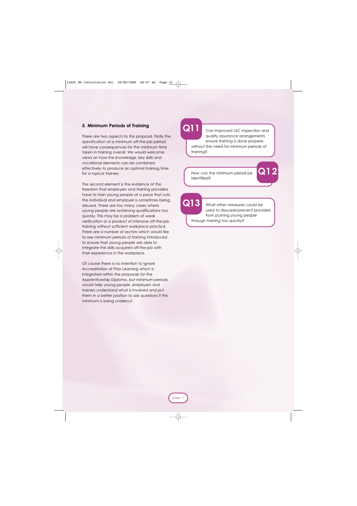#### **5. Minimum Periods of Training**

There are two aspects to this proposal. Firstly the specification of a minimum off-the-job period will have consequences for the minimum time taken in training overall. We would welcome views on how the knowledge, key skills and vocational elements can be combined effectively to produce an optimal training time for a typical trainee.

The second element is the evidence of the freedom that employers and training providers have to train young people at a pace that suits the individual and employer is sometimes being abused. There are too many cases where young people are achieving qualifications too quickly. This may be a problem of weak verification or a product of intensive off-the-job training without sufficient workplace practice. There are a number of sectors which would like to see minimum periods of training introduced to ensure that young people are able to integrate the skills acquired off-the-job with their experience in the workplace.

Of course there is no intention to ignore Accreditation of Prior Learning which is integrated within the proposals for the Apprenticeship Diploma, but minimum periods would help young people, employers and trainers understand what is involved and put them in a better position to ask questions if this minimum is being undercut.

### **Q11**

Can improved LSC inspection and quality assurance arrangements ensure training is done properly without the need for minimum periods of training?

How can the minimum period be identified?

**Q13**

What other measures could be used to dissuade/prevent providers from pushing young people through training too quickly?

**Q12**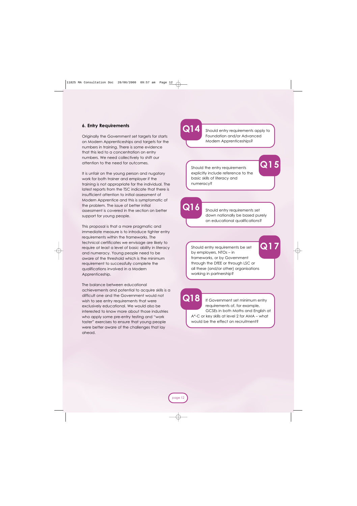#### **6. Entry Requirements**

Originally the Government set targets for starts on Modern Apprenticeships and targets for the numbers in training. There is some evidence that this led to a concentration on entry numbers. We need collectively to shift our attention to the need for outcomes.

It is unfair on the young person and nugatory work for both trainer and employer if the training is not appropriate for the individual. The latest reports from the TSC indicate that there is insufficient attention to initial assessment of Modern Apprentice and this is symptomatic of the problem. The issue of better initial assessment is covered in the section on better support for young people.

This proposal is that a more pragmatic and immediate measure is to introduce tighter entry requirements within the frameworks. The technical certificates we envisage are likely to require at least a level of basic ability in literacy and numeracy. Young people need to be aware of the threshold which is the minimum requirement to successfully complete the qualifications involved in a Modern Apprenticeship.

The balance between educational achievements and potential to acquire skills is a difficult one and the Government would not wish to see entry requirements that were exclusively educational. We would also be interested to know more about those industries who apply some pre-entry testing and "work taster" exercises to ensure that young people were better aware of the challenges that lay ahead.

### **Q14**

Should entry requirements apply to Foundation and/or Advanced Modern Apprenticeships?

Should the entry requirements explicitly include reference to the basic skills of literacy and numeracy?

**Q16**

Should entry requirements set down nationally be based purely on educational qualifications?

Should entry requirements be set by employers, NTOs – in frameworks, or by Government through the DfEE or through LSC or all these (and/or other) organisations working in partnership?

**Q17**

**Q15**

**Q18**

If Government set minimum entry requirements of, for example, GCSEs in both Maths and English at A\*-C or key skills at level 2 for AMA – what would be the effect on recruitment?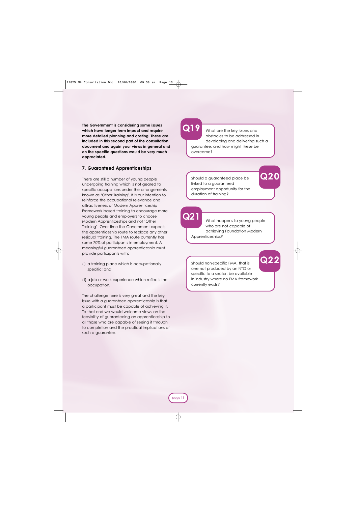**The Government is considering some issues which have longer term impact and require more detailed planning and costing. These are included in this second part of the consultation document and again your views in general and on the specific questions would be very much appreciated.**

#### **7. Guaranteed Apprenticeships**

There are still a number of young people undergoing training which is not geared to specific occupations under the arrangements known as 'Other Training'. It is our intention to reinforce the occupational relevance and attractiveness of Modern Apprenticeship Framework based training to encourage more young people and employers to choose Modern Apprenticeships and not 'Other Training'. Over time the Government expects the apprenticeship route to replace any other residual training. The FMA route currently has some 70% of participants in employment. A meaningful guaranteed apprenticeship must provide participants with:

- (i) a training place which is occupationally specific; and
- (ii) a job or work experience which reflects the occupation.

The challenge here is very great and the key issue with a guaranteed apprenticeship is that a participant must be capable of achieving it. To that end we would welcome views on the feasibility of guaranteeing an apprenticeship to all those who are capable of seeing it through to completion and the practical implications of such a guarantee.

### **Q19**

What are the key issues and obstacles to be addressed in developing and delivering such a guarantee, and how might these be overcome?

Should a guaranteed place be linked to a guaranteed employment opportunity for the duration of training?

**Q21**

What happens to young people who are not capable of achieving Foundation Modern Apprenticeships?

**Q22**

**Q20**

Should non-specific FMA, that is one not produced by an NTO or specific to a sector, be available in industry where no FMA framework currently exists?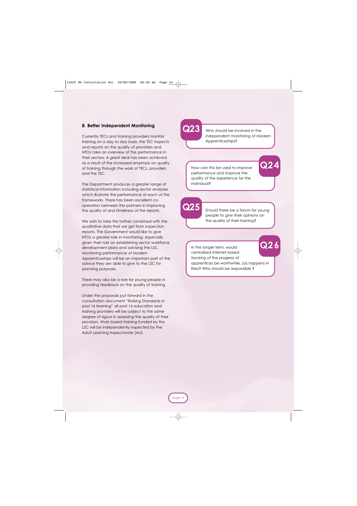#### **8. Better Independent Monitoring**

Currently TECs and training providers monitor training on a day to day basis, the TSC inspects and reports on the quality of providers and NTOs take an overview of the performance in their sectors. A great deal has been achieved as a result of the increased emphasis on quality of training through the work of TECs, providers and the TSC.

The Department produces a greater range of statistical information including sector analyses which illustrate the performance of each of the frameworks. There has been excellent cooperation between the partners in improving the quality of and timeliness of the reports.

We wish to take this further combined with the qualitative data that we get from inspection reports. The Government would like to give NTOs a greater role in monitoring, especially given their role on establishing sector workforce development plans and advising the LSC. Monitoring performance of Modern Apprenticeships will be an important part of the advice they are able to give to the LSC for planning purposes.

There may also be a role for young people in providing feedback on the quality of training.

Under the proposals put forward in the consultation document "Raising Standards in post 16 learning" all post-16 education and training providers will be subject to the same degree of rigour in assessing the quality of their provision. Work based training funded by the LSC will be independently inspected by the Adult Learning Inspectorate (ALI).

# **Q23**

Who should be involved in the independent monitoring of Modern Apprenticeships?

**Q24**

How can this be used to improve performance and improve the quality of the experience for the individual?

**Q25**

Should there be a forum for young people to give their opinions on the quality of their training?

In the longer term, would centralised Internet-based tracking of the progress of apprentices be worthwhile, (as happens in Eire)? Who should be responsible ? **Q26**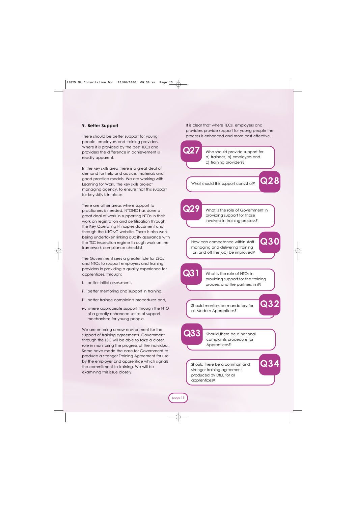#### **9. Better Support**

There should be better support for young people, employers and training providers. Where it is provided by the best TECs and providers the difference in achievement is readily apparent.

In the key skills area there is a great deal of demand for help and advice, materials and good practice models. We are working with Learning for Work, the key skills project managing agency, to ensure that this support for key skills is in place.

There are other areas where support to practioners is needed. NTONC has done a great deal of work in supporting NTOs in their work on registration and certification through the Key Operating Principles document and through the NTONC website. There is also work being undertaken linking quality assurance with the TSC inspection regime through work on the framework compliance checklist.

The Government sees a greater role for LSCs and NTOs to support employers and training providers in providing a quality experience for apprentices, through:

- i. better initial assessment,
- ii. better mentoring and support in training,
- iii. better trainee complaints procedures and,
- iv. where appropriate support through the NTO of a greatly enhanced series of support mechanisms for young people.

We are entering a new environment for the support of training agreements. Government through the LSC will be able to take a closer role in monitoring the progress of the individual. Some have made the case for Government to produce a stronger Training Agreement for use by the employer and apprentice which signals the commitment to training. We will be examining this issue closely.

It is clear that where TECs, employers and providers provide support for young people the process is enhanced and more cost effective.

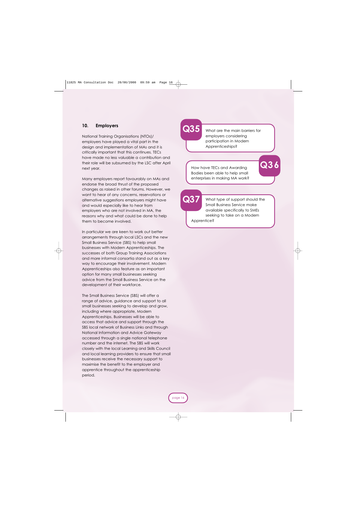#### **10. Employers**

National Training Organisations (NTOs)/ employers have played a vital part in the design and implementation of MAs and it is critically important that this continues. TECs have made no less valuable a contribution and their role will be subsumed by the LSC after April next year.

Many employers report favourably on MAs and endorse the broad thrust of the proposed changes as raised in other forums. However, we want to hear of any concerns, reservations or alternative suggestions employers might have and would especially like to hear from employers who are not involved in MA, the reasons why and what could be done to help them to become involved.

In particular we are keen to work out better arrangements through local LSCs and the new Small Business Service (SBS) to help small businesses with Modern Apprenticeships. The successes of both Group Training Associations and more informal consortia stand out as a key way to encourage their involvement. Modern Apprenticeships also feature as an important option for many small businesses seeking advice from the Small Business Service on the development of their workforce.

The Small Business Service (SBS) will offer a range of advice, guidance and support to all small businesses seeking to develop and grow, including where appropriate, Modern Apprenticeships. Businesses will be able to access that advice and support through the SBS local network of Business Links and through National Information and Advice Gateway accessed through a single national telephone number and the internet. The SBS will work closely with the local Learning and Skills Council and local learning providers to ensure that small businesses receive the necessary support to maximise the benefit to the employer and apprentice throughout the apprenticeship period.



What are the main barriers for employers considering participation in Modern Apprenticeships?

How have TECs and Awarding Bodies been able to help small enterprises in making MA work? **Q36**

**Q37**

What type of support should the Small Business Service make available specifically to SMEs seeking to take on a Modern

Apprentice?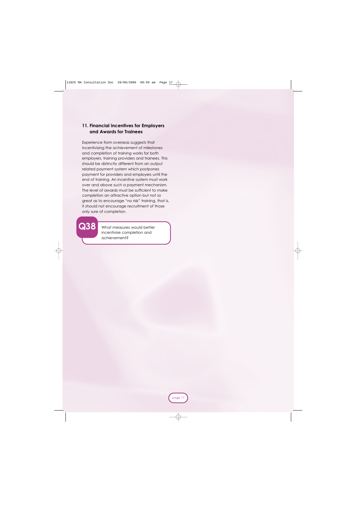#### **11. Financial Incentives for Employers and Awards for Trainees**

Experience from overseas suggests that incentivising the achievement of milestones and completion of training works for both employers, training providers and trainees. This should be distinctly different from an output related payment system which postpones payment for providers and employers until the end of training. An incentive system must work over and above such a payment mechanism. The level of awards must be sufficient to make completion an attractive option but not so great as to encourage "no risk" training, that is, it should not encourage recruitment of those only sure of completion.

> What measures would better incentivise completion and achievement?

**Q38**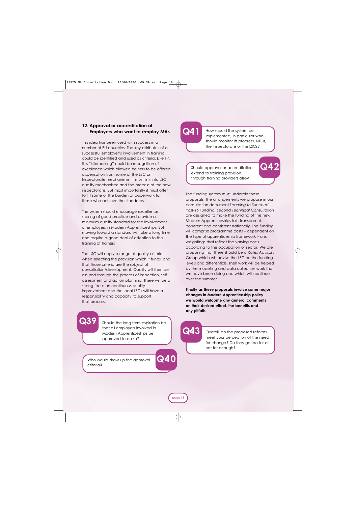#### **12. Approval or accreditation of Employers who want to employ MAs**

This idea has been used with success in a number of EU countries. The key attributes of a successful employer's involvement in training could be identified and used as criteria. Like IiP, this "kitemarking" could be recognition of excellence which allowed trainers to be offered dispensation from some of the LSC or Inspectorate mechanisms. It must link into LSC quality mechanisms and the process of the new inspectorate. But most importantly it must offer to lift some of the burden of paperwork for those who achieve the standards.

The system should encourage excellence, sharing of good practice and provide a minimum quality standard for the involvement of employers in Modern Apprenticeships. But moving toward a standard will take a long time and require a good deal of attention to the training of trainers

The LSC will apply a range of quality criteria when selecting the provision which it funds, and that those criteria are the subject of consultation/development. Quality will then be assured through the process of inspection, self assessment and action planning. There will be a strong focus on continuous quality improvement and the local LSCs will have a responsibility and capacity to support that process.

**Q41**

How should the system be implemented, in particular who should monitor its progress, NTOs, the Inspectorate or the LSCs?

**Q42**

Should approval or accreditation extend to training provision through training providers also?

The funding system must underpin these proposals. The arrangements we propose in our consultation document *Learning to Succeed – Post-16 Funding: Second Technical Consultation* are designed to make the funding of the new Modern Apprenticeships fair, transparent, coherent and consistent nationally. The funding will comprise programme costs – dependent on the type of apprenticeship framework – and weightings that reflect the varying costs according to the occupation or sector. We are proposing that there should be a Rates Advisory Group which will advise the LSC on the funding levels and differentials. Their work will be helped by the modelling and data collection work that we have been doing and which will continue over the summer.

**Finally as these proposals involve some major changes in Modern Apprenticeship policy we would welcome any general comments on their desired effect, the benefits and any pitfalls.**

Should the long term aspiration be that all employers involved in Modern Apprenticeships be approved to do so?

Who would draw up the approval criteria?

**Q39**



page 18

**Q40**

Overall, do the proposed reforms meet your perception of the need for change? Do they go too far or not far enough?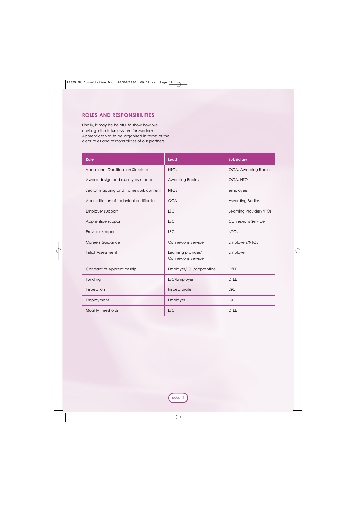#### **ROLES AND RESPONSIBILITIES**

Finally, it may be helpful to show how we envisage the future system for Modern Apprenticeships to be organised in terms of the clear roles and responsibilities of our partners:

| <b>Role</b>                               | <b>Lead</b>                                     | <b>Subsidiary</b>         |
|-------------------------------------------|-------------------------------------------------|---------------------------|
| <b>Vocational Qualification Structure</b> | <b>NTOs</b>                                     | QCA, Awarding Bodies      |
| Award design and quality assurance        | <b>Awarding Bodies</b>                          | QCA, NTOs                 |
| Sector mapping and framework content      | <b>NTOs</b>                                     | employers                 |
| Accreditation of technical certificates   | <b>QCA</b>                                      | <b>Awarding Bodies</b>    |
| Employer support                          | <b>LSC</b>                                      | Learning Provider/NTOs    |
| Apprentice support                        | <b>LSC</b>                                      | <b>Connexions Service</b> |
| Provider support                          | <b>LSC</b>                                      | <b>NTOs</b>               |
| <b>Careers Guidance</b>                   | <b>Connexions Service</b>                       | Employers/NTOs            |
| Initial Assessment                        | Learning provider/<br><b>Connexions Service</b> | Employer                  |
| Contract of Apprenticeship                | Employer/LSC/apprentice                         | <b>DfEE</b>               |
| Funding                                   | LSC/Employer                                    | <b>DfEE</b>               |
| Inspection                                | Inspectorate                                    | <b>LSC</b>                |
| Employment                                | Employer                                        | <b>LSC</b>                |
| <b>Quality Thresholds</b>                 | <b>LSC</b>                                      | <b>DfEE</b>               |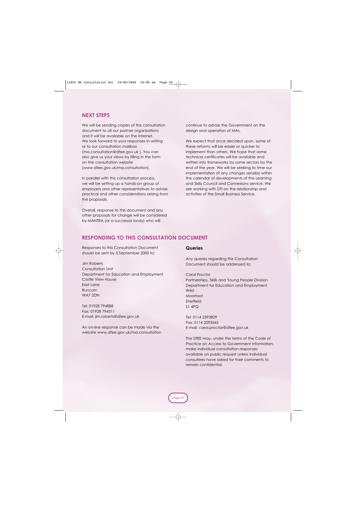#### **NEXT STEPS**

We will be sending copies of this consultation document to all our partner organisations and it will be available on the Internet. We look forward to your responses in writing or to our consultation mailbox [ma.consultation@dfee.gov.uk ]. You can also give us your views by filling in the form on the consultation website [www.dfee.gov.uk/ma.consultation].

In parallel with this consultation process, we will be setting up a hands-on group of employers and other representatives to advise practical and other considerations arising from the proposals.

Overall, response to this document and any other proposals for change will be considered by MANTRA (or a successor body) who will

continue to advise the Government on the design and operation of MAs.

We expect that once decided upon, some of these reforms will be easier or quicker to implement than others. We hope that some technical certificates will be available and written into frameworks by some sectors by the end of the year. We will be seeking to time our implementation of any changes sensibly within the calendar of developments of the Learning and Skills Council and Connexions service. We are working with DTI on the relationship and activities of the Small Business Service.

#### **RESPONDING TO THIS CONSULTATION DOCUMENT**

Responses to this Consultation Document should be sent by 5 September 2000 to:

Jim Roberts Consultation Unit Department for Education and Employment Castle View House East Lane Runcorn WA7 2DN

Tel: 01928 794888 Fax: 01928 794311 E-mail: jim.roberts@dfee.gov.uk

An on-line response can be made via the website www.dfee.gov.uk/ma.consultation

#### **Queries**

Any queries regarding this Consultation Document should be addressed to:

Carol Proctor

Partnerships, Skills and Young People Division Department for Education and Employment W4d Moorfoot Sheffield S1 4PQ

Tel: 0114 2593829 Fax: 0114 2593565 E-mail: carol.proctor@dfee.gov.uk

The DfEE may, under the terms of the Code of Practice on Access to Government information, make individual consultation responses available on public request unless individual consultees have asked for their comments to remain confidential.